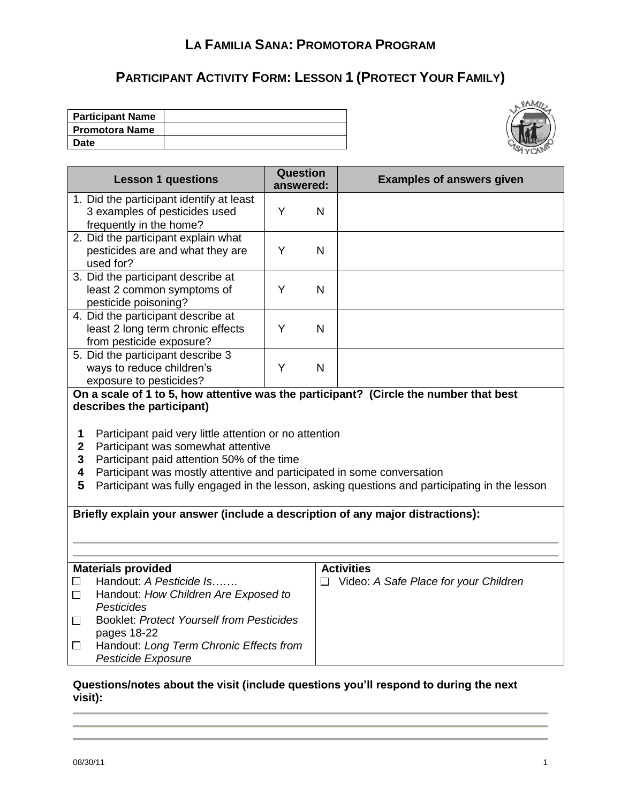# **PARTICIPANT ACTIVITY FORM: LESSON 1 (PROTECT YOUR FAMILY)**

| <b>Participant Name</b> |  |
|-------------------------|--|
| <b>Promotora Name</b>   |  |
| Date                    |  |



| <b>Lesson 1 questions</b>                                                                                                                                                                                                                                                                                                                                   | <b>Question</b><br>answered: |              | <b>Examples of answers given</b>             |  |
|-------------------------------------------------------------------------------------------------------------------------------------------------------------------------------------------------------------------------------------------------------------------------------------------------------------------------------------------------------------|------------------------------|--------------|----------------------------------------------|--|
| 1. Did the participant identify at least<br>3 examples of pesticides used<br>frequently in the home?                                                                                                                                                                                                                                                        | Y                            | N            |                                              |  |
| 2. Did the participant explain what<br>pesticides are and what they are<br>used for?                                                                                                                                                                                                                                                                        | Y                            | $\mathsf{N}$ |                                              |  |
| 3. Did the participant describe at<br>least 2 common symptoms of<br>pesticide poisoning?                                                                                                                                                                                                                                                                    | Y                            | $\mathsf{N}$ |                                              |  |
| 4. Did the participant describe at<br>least 2 long term chronic effects<br>from pesticide exposure?                                                                                                                                                                                                                                                         | Y                            | N            |                                              |  |
| 5. Did the participant describe 3<br>ways to reduce children's<br>exposure to pesticides?                                                                                                                                                                                                                                                                   | Y                            | $\mathsf{N}$ |                                              |  |
| On a scale of 1 to 5, how attentive was the participant? (Circle the number that best                                                                                                                                                                                                                                                                       |                              |              |                                              |  |
| describes the participant)                                                                                                                                                                                                                                                                                                                                  |                              |              |                                              |  |
| 1<br>Participant paid very little attention or no attention<br>$\overline{2}$<br>Participant was somewhat attentive<br>Participant paid attention 50% of the time<br>3<br>Participant was mostly attentive and participated in some conversation<br>4<br>5<br>Participant was fully engaged in the lesson, asking questions and participating in the lesson |                              |              |                                              |  |
| Briefly explain your answer (include a description of any major distractions):                                                                                                                                                                                                                                                                              |                              |              |                                              |  |
|                                                                                                                                                                                                                                                                                                                                                             |                              |              |                                              |  |
|                                                                                                                                                                                                                                                                                                                                                             |                              |              |                                              |  |
| <b>Materials provided</b>                                                                                                                                                                                                                                                                                                                                   |                              |              | <b>Activities</b>                            |  |
| Handout: A Pesticide Is<br>$\Box$                                                                                                                                                                                                                                                                                                                           |                              |              | $\Box$ Video: A Safe Place for your Children |  |
| Handout: How Children Are Exposed to<br>$\Box$                                                                                                                                                                                                                                                                                                              |                              |              |                                              |  |
| <b>Pesticides</b>                                                                                                                                                                                                                                                                                                                                           |                              |              |                                              |  |
| <b>Booklet: Protect Yourself from Pesticides</b><br>$\Box$<br>pages 18-22                                                                                                                                                                                                                                                                                   |                              |              |                                              |  |
| Handout: Long Term Chronic Effects from<br>$\Box$                                                                                                                                                                                                                                                                                                           |                              |              |                                              |  |
| Pesticide Exposure                                                                                                                                                                                                                                                                                                                                          |                              |              |                                              |  |
|                                                                                                                                                                                                                                                                                                                                                             |                              |              |                                              |  |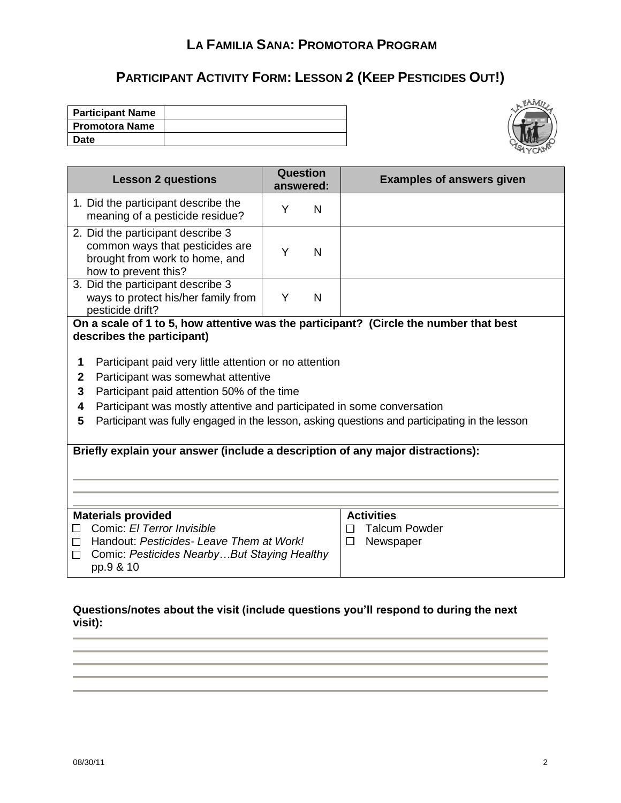# **PARTICIPANT ACTIVITY FORM: LESSON 2 (KEEP PESTICIDES OUT!)**

| <b>Participant Name</b> |  |
|-------------------------|--|
| l Promotora Name        |  |
| Date                    |  |



| <b>Lesson 2 questions</b>                                                                                                      |                                         | Question<br>answered: | <b>Examples of answers given</b>     |  |
|--------------------------------------------------------------------------------------------------------------------------------|-----------------------------------------|-----------------------|--------------------------------------|--|
| 1. Did the participant describe the<br>meaning of a pesticide residue?                                                         | Y                                       | N                     |                                      |  |
| 2. Did the participant describe 3<br>common ways that pesticides are<br>brought from work to home, and<br>how to prevent this? | Y                                       | N                     |                                      |  |
| 3. Did the participant describe 3<br>ways to protect his/her family from<br>pesticide drift?                                   | Y                                       | N                     |                                      |  |
| On a scale of 1 to 5, how attentive was the participant? (Circle the number that best<br>describes the participant)            |                                         |                       |                                      |  |
| Participant paid very little attention or no attention<br>1                                                                    |                                         |                       |                                      |  |
| Participant was somewhat attentive<br>$\mathbf{2}$                                                                             |                                         |                       |                                      |  |
| 3<br>Participant paid attention 50% of the time                                                                                |                                         |                       |                                      |  |
| Participant was mostly attentive and participated in some conversation<br>4                                                    |                                         |                       |                                      |  |
| Participant was fully engaged in the lesson, asking questions and participating in the lesson<br>5                             |                                         |                       |                                      |  |
|                                                                                                                                |                                         |                       |                                      |  |
| Briefly explain your answer (include a description of any major distractions):                                                 |                                         |                       |                                      |  |
|                                                                                                                                |                                         |                       |                                      |  |
|                                                                                                                                |                                         |                       |                                      |  |
|                                                                                                                                |                                         |                       | <b>Activities</b>                    |  |
| <b>Materials provided</b><br>Comic: El Terror Invisible<br>П                                                                   |                                         |                       | <b>Talcum Powder</b><br>$\mathsf{L}$ |  |
| $\mathsf{L}$                                                                                                                   | Handout: Pesticides-Leave Them at Work! |                       | Newspaper<br>$\Box$                  |  |
| Comic: Pesticides NearbyBut Staying Healthy<br>П<br>pp.9 & 10                                                                  |                                         |                       |                                      |  |
|                                                                                                                                |                                         |                       |                                      |  |

#### **Questions/notes about the visit (include questions you'll respond to during the next visit):**

the control of the control of the control of the control of the control of the control of the control of the control of the control of the control of the control of the control of the control of the control of the control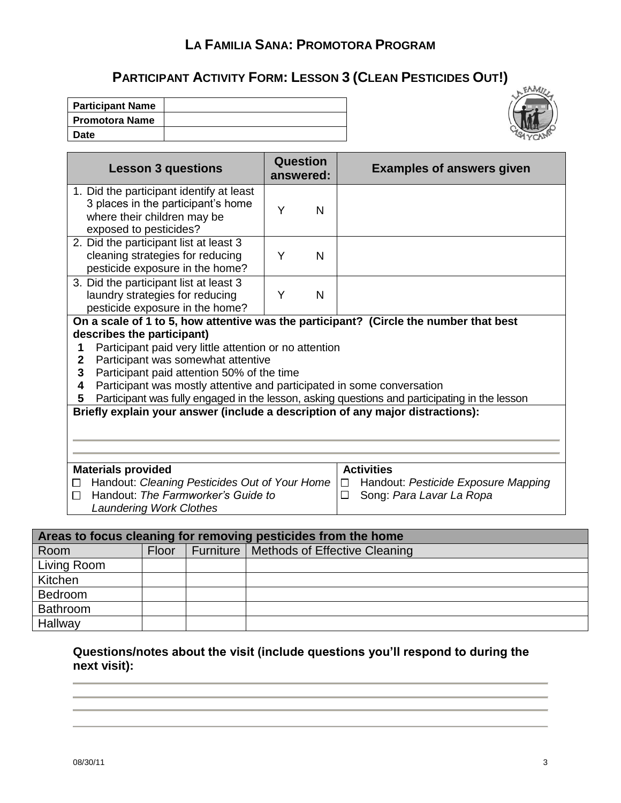# **PARTICIPANT ACTIVITY FORM: LESSON 3 (CLEAN PESTICIDES OUT!)**

| <b>Participant Name</b> |  |
|-------------------------|--|
| <b>Promotora Name</b>   |  |
| Date                    |  |



| <b>Lesson 3 questions</b>                                                                                                                                                                                                                                                                                                                                                                                                                                         | Question<br>answered: | <b>Examples of answers given</b>                                                                    |
|-------------------------------------------------------------------------------------------------------------------------------------------------------------------------------------------------------------------------------------------------------------------------------------------------------------------------------------------------------------------------------------------------------------------------------------------------------------------|-----------------------|-----------------------------------------------------------------------------------------------------|
| 1. Did the participant identify at least<br>3 places in the participant's home<br>where their children may be<br>exposed to pesticides?                                                                                                                                                                                                                                                                                                                           | Y<br>N                |                                                                                                     |
| 2. Did the participant list at least 3<br>cleaning strategies for reducing<br>pesticide exposure in the home?                                                                                                                                                                                                                                                                                                                                                     | Y<br>N                |                                                                                                     |
| 3. Did the participant list at least 3<br>laundry strategies for reducing<br>pesticide exposure in the home?                                                                                                                                                                                                                                                                                                                                                      | Y<br>N                |                                                                                                     |
| On a scale of 1 to 5, how attentive was the participant? (Circle the number that best<br>describes the participant)<br>Participant paid very little attention or no attention<br>1<br>Participant was somewhat attentive<br>$\mathbf{2}$<br>3<br>Participant paid attention 50% of the time<br>Participant was mostly attentive and participated in some conversation<br>4<br>5<br>Briefly explain your answer (include a description of any major distractions): |                       | Participant was fully engaged in the lesson, asking questions and participating in the lesson       |
|                                                                                                                                                                                                                                                                                                                                                                                                                                                                   |                       |                                                                                                     |
| <b>Materials provided</b><br>Handout: Cleaning Pesticides Out of Your Home<br>□<br>Handout: The Farmworker's Guide to<br>П<br><b>Laundering Work Clothes</b>                                                                                                                                                                                                                                                                                                      |                       | <b>Activities</b><br>Handout: Pesticide Exposure Mapping<br>$\Box$<br>□<br>Song: Para Lavar La Ropa |

| Areas to focus cleaning for removing pesticides from the home |       |  |                                           |  |  |
|---------------------------------------------------------------|-------|--|-------------------------------------------|--|--|
| Room                                                          | Floor |  | Furniture   Methods of Effective Cleaning |  |  |
| Living Room                                                   |       |  |                                           |  |  |
| Kitchen                                                       |       |  |                                           |  |  |
| Bedroom                                                       |       |  |                                           |  |  |
| Bathroom                                                      |       |  |                                           |  |  |
| Hallway                                                       |       |  |                                           |  |  |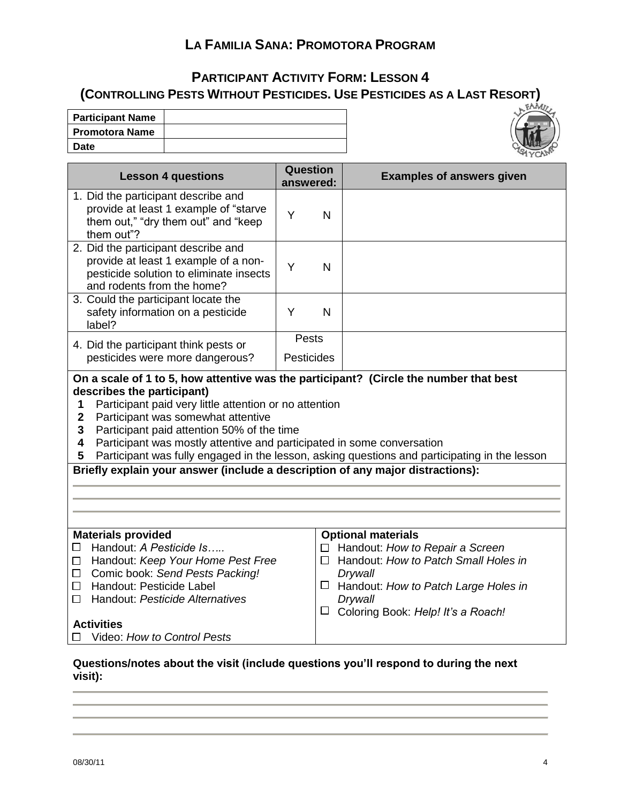#### **PARTICIPANT ACTIVITY FORM: LESSON 4 (CONTROLLING PESTS WITHOUT PESTICIDES. USE PESTICIDES AS A LAST RESORT)**

| <b>Participant Name</b> |  |
|-------------------------|--|
| <b>Promotora Name</b>   |  |
| <b>Date</b>             |  |



| <b>Lesson 4 questions</b>                                                                                                                                                                                                                                                                                                                                                                                                                                                 | <b>Question</b><br>answered: |              | <b>Examples of answers given</b>                                                                                                                                                                                       |
|---------------------------------------------------------------------------------------------------------------------------------------------------------------------------------------------------------------------------------------------------------------------------------------------------------------------------------------------------------------------------------------------------------------------------------------------------------------------------|------------------------------|--------------|------------------------------------------------------------------------------------------------------------------------------------------------------------------------------------------------------------------------|
| 1. Did the participant describe and<br>provide at least 1 example of "starve<br>them out," "dry them out" and "keep<br>them out"?                                                                                                                                                                                                                                                                                                                                         | Y                            | N            |                                                                                                                                                                                                                        |
| 2. Did the participant describe and<br>provide at least 1 example of a non-<br>pesticide solution to eliminate insects<br>and rodents from the home?                                                                                                                                                                                                                                                                                                                      | Y                            | $\mathsf{N}$ |                                                                                                                                                                                                                        |
| 3. Could the participant locate the<br>safety information on a pesticide<br>label?                                                                                                                                                                                                                                                                                                                                                                                        | Y                            | $\mathsf{N}$ |                                                                                                                                                                                                                        |
| 4. Did the participant think pests or                                                                                                                                                                                                                                                                                                                                                                                                                                     | Pests                        |              |                                                                                                                                                                                                                        |
| pesticides were more dangerous?                                                                                                                                                                                                                                                                                                                                                                                                                                           | <b>Pesticides</b>            |              |                                                                                                                                                                                                                        |
| describes the participant)<br>Participant paid very little attention or no attention<br>1<br>Participant was somewhat attentive<br>$\mathbf{2}$<br>3<br>Participant paid attention 50% of the time<br>Participant was mostly attentive and participated in some conversation<br>4<br>Participant was fully engaged in the lesson, asking questions and participating in the lesson<br>5<br>Briefly explain your answer (include a description of any major distractions): |                              |              |                                                                                                                                                                                                                        |
| <b>Materials provided</b><br>Handout: A Pesticide Is<br>□<br>Handout: Keep Your Home Pest Free<br>□<br>Comic book: Send Pests Packing!<br>$\Box$<br>Handout: Pesticide Label<br>□<br>Handout: Pesticide Alternatives<br>□<br><b>Activities</b><br>Video: How to Control Pests                                                                                                                                                                                             |                              | LΙ<br>ப      | <b>Optional materials</b><br>$\Box$ Handout: How to Repair a Screen<br>Handout: How to Patch Small Holes in<br>Drywall<br>$\Box$ Handout: How to Patch Large Holes in<br>Drywall<br>Coloring Book: Help! It's a Roach! |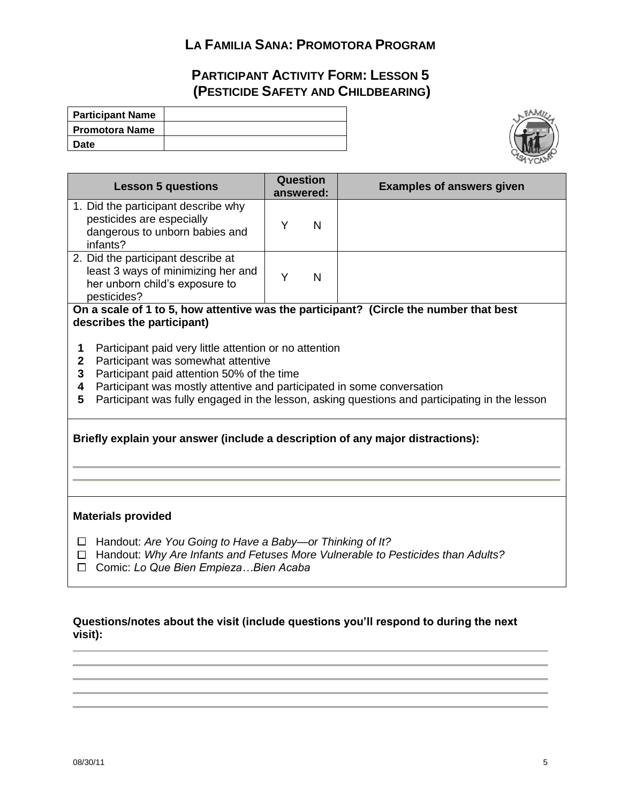# **PARTICIPANT ACTIVITY FORM: LESSON 5 (PESTICIDE SAFETY AND CHILDBEARING)**

| <b>Participant Name</b> |  |
|-------------------------|--|
| <b>Promotora Name</b>   |  |
| Date                    |  |



| <b>Lesson 5 questions</b>                                                                                                                                                                                                                                                                                                                  |   | Question<br>answered: | <b>Examples of answers given</b>                                                              |
|--------------------------------------------------------------------------------------------------------------------------------------------------------------------------------------------------------------------------------------------------------------------------------------------------------------------------------------------|---|-----------------------|-----------------------------------------------------------------------------------------------|
| 1. Did the participant describe why<br>pesticides are especially<br>dangerous to unborn babies and<br>infants?                                                                                                                                                                                                                             | Y | N                     |                                                                                               |
| 2. Did the participant describe at<br>least 3 ways of minimizing her and<br>her unborn child's exposure to<br>pesticides?                                                                                                                                                                                                                  | Υ | N                     |                                                                                               |
| On a scale of 1 to 5, how attentive was the participant? (Circle the number that best<br>describes the participant)                                                                                                                                                                                                                        |   |                       |                                                                                               |
| Participant paid very little attention or no attention<br>1<br>Participant was somewhat attentive<br>$\mathbf{2}$<br>Participant paid attention 50% of the time<br>3<br>Participant was mostly attentive and participated in some conversation<br>4<br>5<br>Briefly explain your answer (include a description of any major distractions): |   |                       | Participant was fully engaged in the lesson, asking questions and participating in the lesson |
| <b>Materials provided</b>                                                                                                                                                                                                                                                                                                                  |   |                       |                                                                                               |
| Handout: Are You Going to Have a Baby-or Thinking of It?<br>$\Box$<br>Handout: Why Are Infants and Fetuses More Vulnerable to Pesticides than Adults?<br>$\Box$<br>Comic: Lo Que Bien Empieza Bien Acaba<br>$\Box$                                                                                                                         |   |                       |                                                                                               |